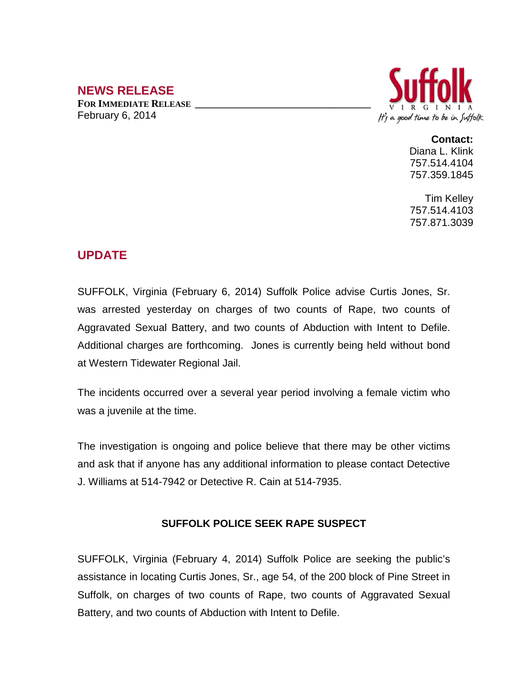## **NEWS RELEASE**

**FOR IMMEDIATE RELEASE \_\_\_\_\_\_\_\_\_\_\_\_\_\_\_\_\_\_\_\_\_\_\_\_\_\_\_\_\_\_\_\_\_\_** February 6, 2014



## **Contact:**

Diana L. Klink 757.514.4104 757.359.1845

Tim Kelley 757.514.4103 757.871.3039

## **UPDATE**

SUFFOLK, Virginia (February 6, 2014) Suffolk Police advise Curtis Jones, Sr. was arrested yesterday on charges of two counts of Rape, two counts of Aggravated Sexual Battery, and two counts of Abduction with Intent to Defile. Additional charges are forthcoming. Jones is currently being held without bond at Western Tidewater Regional Jail.

The incidents occurred over a several year period involving a female victim who was a juvenile at the time.

The investigation is ongoing and police believe that there may be other victims and ask that if anyone has any additional information to please contact Detective J. Williams at 514-7942 or Detective R. Cain at 514-7935.

## **SUFFOLK POLICE SEEK RAPE SUSPECT**

SUFFOLK, Virginia (February 4, 2014) Suffolk Police are seeking the public's assistance in locating Curtis Jones, Sr., age 54, of the 200 block of Pine Street in Suffolk, on charges of two counts of Rape, two counts of Aggravated Sexual Battery, and two counts of Abduction with Intent to Defile.